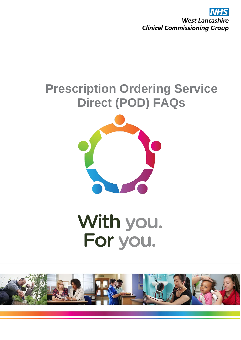**West Lancashire Clinical Commissioning Group** 

# **Prescription Ordering Service Direct (POD) FAQs**



# With you. For you.

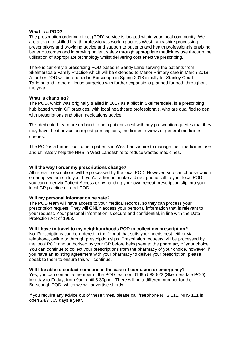#### **What is a POD?**

The prescription ordering direct (POD) service is located within your local community. We are a team of skilled health professionals working across West Lancashire processing prescriptions and providing advice and support to patients and health professionals enabling better outcomes and improving patient safety through appropriate medicines use through the utilisation of appropriate technology whilst delivering cost effective prescribing.

There is currently a prescribing POD based in Sandy Lane serving the patients from Skelmersdale Family Practice which will be extended to Manor Primary care in March 2018. A further POD will be opened in Burscough in Spring 2018 initially for Stanley Court, Tarleton and Lathom House surgeries with further expansions planned for both throughout the year.

# **What is changing?**

The POD, which was originally trialled in 2017 as a pilot in Skelmersdale, is a prescribing hub based within GP practices, with local healthcare professionals, who are qualified to deal with prescriptions and offer medications advice.

This dedicated team are on hand to help patients deal with any prescription queries that they may have, be it advice on repeat prescriptions, medicines reviews or general medicines queries.

The POD is a further tool to help patients in West Lancashire to manage their medicines use and ultimately help the NHS in West Lancashire to reduce wasted medicines.

# **Will the way I order my prescriptions change?**

All repeat prescriptions will be processed by the local POD. However, you can choose which ordering system suits you. If you'd rather not make a direct phone call to your local POD, you can order via Patient Access or by handing your own repeat prescription slip into your local GP practice or local POD.

#### **Will my personal information be safe?**

The POD team will have access to your medical records, so they can process your prescription request. They will ONLY access your personal information that is relevant to your request. Your personal information is secure and confidential, in line with the Data Protection Act of 1998.

# **Will I have to travel to my neighbourhoods POD to collect my prescription?**

No. Prescriptions can be ordered in the format that suits your needs best, either via telephone, online or through prescription slips. Prescription requests will be processed by the local POD and authorised by your GP before being sent to the pharmacy of your choice. You can continue to collect your prescriptions from the pharmacy of your choice, however, if you have an existing agreement with your pharmacy to deliver your prescription, please speak to them to ensure this will continue.

#### **Will I be able to contact someone in the case of confusion or emergency?**

Yes, you can contact a member of the POD team on 01695 588 522 (Skelmersdale POD), Monday to Friday, from 9am until 5.30pm – There will be a different number for the Burscough POD, which we will advertise shortly.

If you require any advice out of these times, please call freephone NHS 111. NHS 111 is open 24/7 365 days a year.